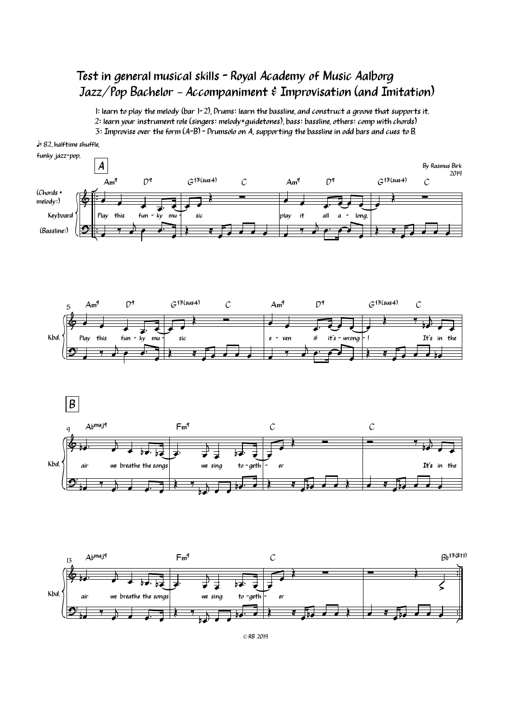## Test in general musical skills - Royal Academy of Music Aalborg Jazz/Pop Bachelor – Accompaniment & Improvisation (and Imitation)

1: learn to play the melody (bar 1-2), Drums: learn the bassline, and construct a groove that supports it. 2: learn your instrument role (singers: melody+guidetones), bass: bassline, others: comp with chords) 3: Improvise over the form (A-B) - Drumsolo on A, supporting the bassline in odd bars and cues to B.





© RB <sup>2019</sup>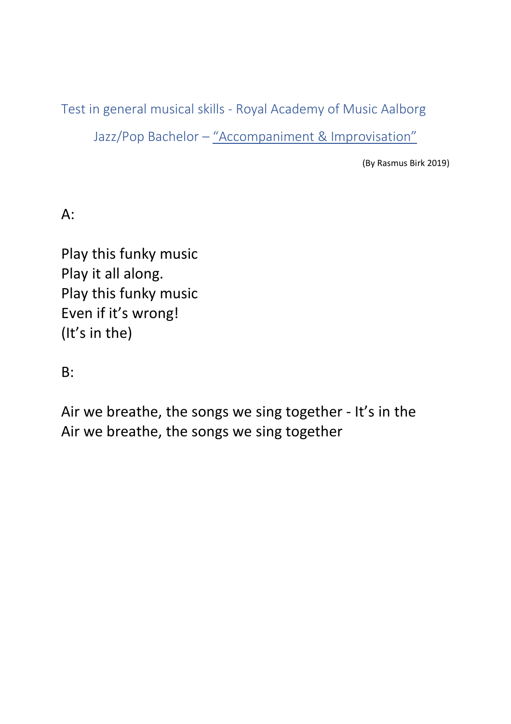Test in general musical skills - Royal Academy of Music Aalborg

Jazz/Pop Bachelor - "Accompaniment & Improvisation"

(By Rasmus Birk 2019)

A:

Play this funky music Play it all along. Play this funky music Even if it's wrong! (It's in the)

B:

Air we breathe, the songs we sing together - It's in the Air we breathe, the songs we sing together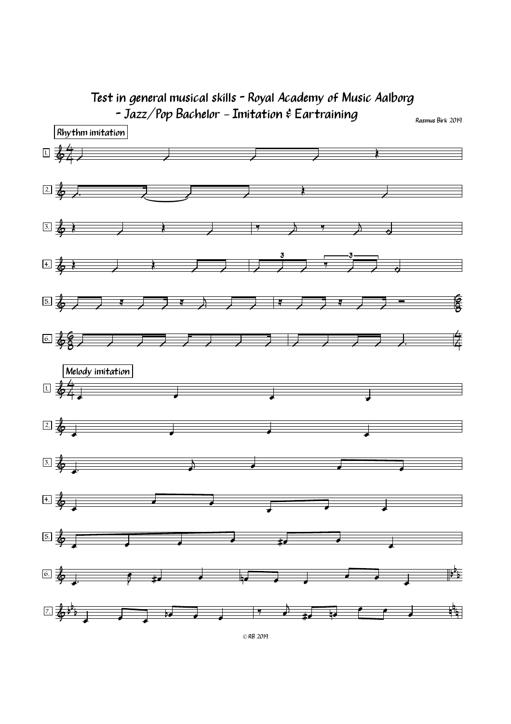

© RB <sup>2019</sup>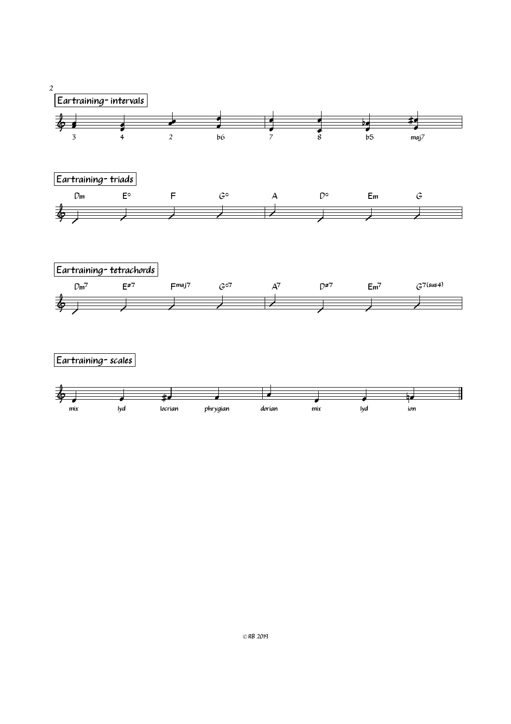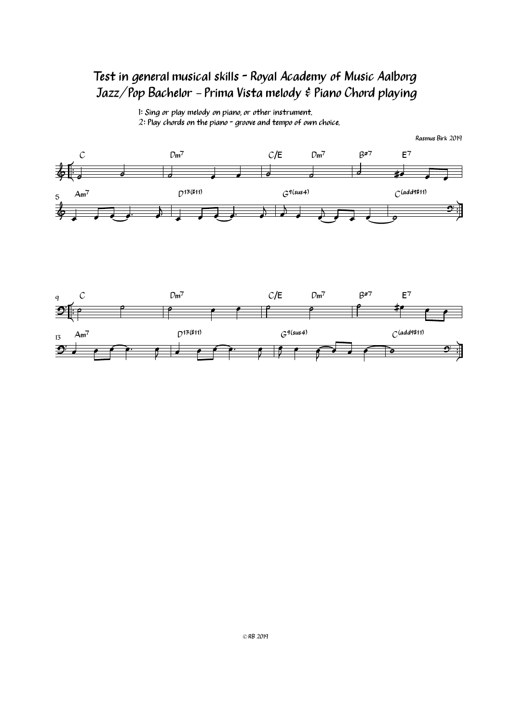## Test in general musical skills - Royal Academy of Music Aalborg Jazz/Pop Bachelor – Prima Vista melody & Piano Chord playing

1: Sing or play melody on piano, or other instrument. 2: Play chords on the piano - groove and tempo of own choice.